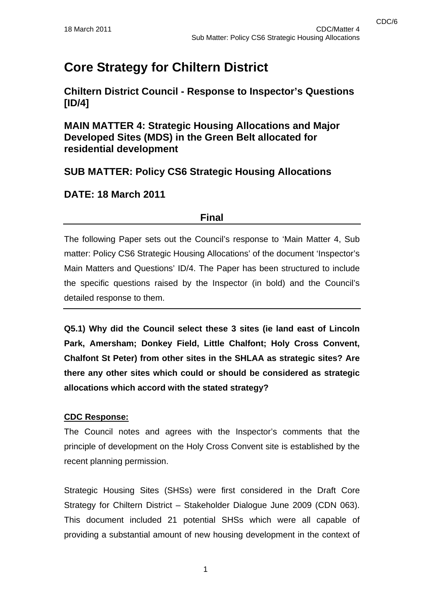# **Core Strategy for Chiltern District**

**Chiltern District Council - Response to Inspector's Questions [ID/4]** 

**MAIN MATTER 4: Strategic Housing Allocations and Major Developed Sites (MDS) in the Green Belt allocated for residential development** 

## **SUB MATTER: Policy CS6 Strategic Housing Allocations**

## **DATE: 18 March 2011**

### **Final**

The following Paper sets out the Council's response to 'Main Matter 4, Sub matter: Policy CS6 Strategic Housing Allocations' of the document 'Inspector's Main Matters and Questions' ID/4. The Paper has been structured to include the specific questions raised by the Inspector (in bold) and the Council's detailed response to them.

**Q5.1) Why did the Council select these 3 sites (ie land east of Lincoln Park, Amersham; Donkey Field, Little Chalfont; Holy Cross Convent, Chalfont St Peter) from other sites in the SHLAA as strategic sites? Are there any other sites which could or should be considered as strategic allocations which accord with the stated strategy?** 

#### **CDC Response:**

The Council notes and agrees with the Inspector's comments that the principle of development on the Holy Cross Convent site is established by the recent planning permission.

Strategic Housing Sites (SHSs) were first considered in the Draft Core Strategy for Chiltern District – Stakeholder Dialogue June 2009 (CDN 063). This document included 21 potential SHSs which were all capable of providing a substantial amount of new housing development in the context of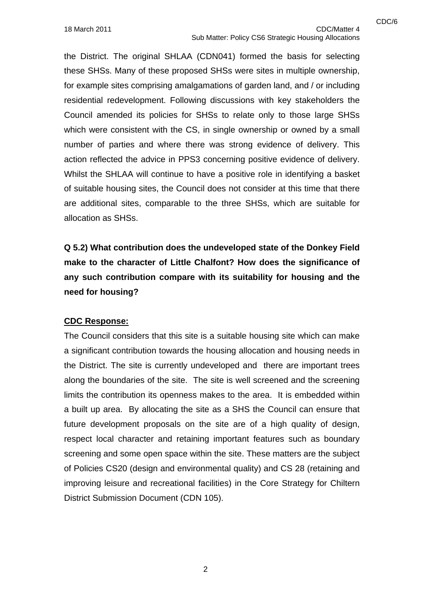the District. The original SHLAA (CDN041) formed the basis for selecting these SHSs. Many of these proposed SHSs were sites in multiple ownership, for example sites comprising amalgamations of garden land, and / or including residential redevelopment. Following discussions with key stakeholders the Council amended its policies for SHSs to relate only to those large SHSs which were consistent with the CS, in single ownership or owned by a small number of parties and where there was strong evidence of delivery. This action reflected the advice in PPS3 concerning positive evidence of delivery. Whilst the SHLAA will continue to have a positive role in identifying a basket of suitable housing sites, the Council does not consider at this time that there are additional sites, comparable to the three SHSs, which are suitable for allocation as SHSs.

**Q 5.2) What contribution does the undeveloped state of the Donkey Field make to the character of Little Chalfont? How does the significance of any such contribution compare with its suitability for housing and the need for housing?** 

#### **CDC Response:**

The Council considers that this site is a suitable housing site which can make a significant contribution towards the housing allocation and housing needs in the District. The site is currently undeveloped and there are important trees along the boundaries of the site. The site is well screened and the screening limits the contribution its openness makes to the area. It is embedded within a built up area. By allocating the site as a SHS the Council can ensure that future development proposals on the site are of a high quality of design, respect local character and retaining important features such as boundary screening and some open space within the site. These matters are the subject of Policies CS20 (design and environmental quality) and CS 28 (retaining and improving leisure and recreational facilities) in the Core Strategy for Chiltern District Submission Document (CDN 105).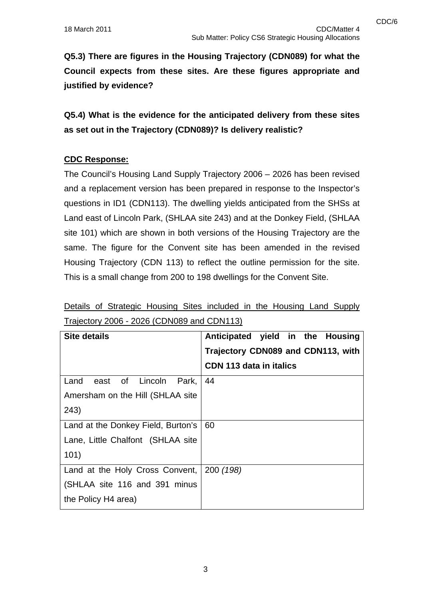**Q5.3) There are figures in the Housing Trajectory (CDN089) for what the Council expects from these sites. Are these figures appropriate and justified by evidence?** 

**Q5.4) What is the evidence for the anticipated delivery from these sites as set out in the Trajectory (CDN089)? Is delivery realistic?**

#### **CDC Response:**

The Council's Housing Land Supply Trajectory 2006 – 2026 has been revised and a replacement version has been prepared in response to the Inspector's questions in ID1 (CDN113). The dwelling yields anticipated from the SHSs at Land east of Lincoln Park, (SHLAA site 243) and at the Donkey Field, (SHLAA site 101) which are shown in both versions of the Housing Trajectory are the same. The figure for the Convent site has been amended in the revised Housing Trajectory (CDN 113) to reflect the outline permission for the site. This is a small change from 200 to 198 dwellings for the Convent Site.

| <b>Site details</b>                 | Anticipated yield in the Housing<br>Trajectory CDN089 and CDN113, with |
|-------------------------------------|------------------------------------------------------------------------|
|                                     | CDN 113 data in italics                                                |
| of Lincoln<br>Land<br>east<br>Park, | 44                                                                     |
| Amersham on the Hill (SHLAA site    |                                                                        |
| 243)                                |                                                                        |
| Land at the Donkey Field, Burton's  | 60                                                                     |
| Lane, Little Chalfont (SHLAA site   |                                                                        |
| 101)                                |                                                                        |
| Land at the Holy Cross Convent,     | 200 (198)                                                              |
| (SHLAA site 116 and 391 minus       |                                                                        |
| the Policy H4 area)                 |                                                                        |

Details of Strategic Housing Sites included in the Housing Land Supply Trajectory 2006 - 2026 (CDN089 and CDN113)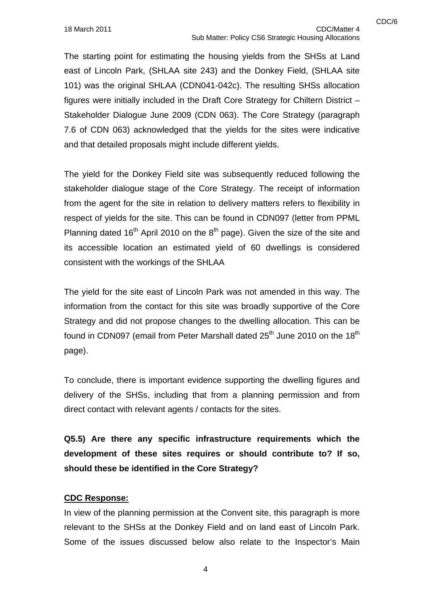The starting point for estimating the housing yields from the SHSs at Land east of Lincoln Park, (SHLAA site 243) and the Donkey Field, (SHLAA site 101) was the original SHLAA (CDN041-042c). The resulting SHSs allocation figures were initially included in the Draft Core Strategy for Chiltern District – Stakeholder Dialogue June 2009 (CDN 063). The Core Strategy (paragraph 7.6 of CDN 063) acknowledged that the yields for the sites were indicative and that detailed proposals might include different yields.

The yield for the Donkey Field site was subsequently reduced following the stakeholder dialogue stage of the Core Strategy. The receipt of information from the agent for the site in relation to delivery matters refers to flexibility in respect of yields for the site. This can be found in CDN097 (letter from PPML Planning dated 16<sup>th</sup> April 2010 on the  $8<sup>th</sup>$  page). Given the size of the site and its accessible location an estimated yield of 60 dwellings is considered consistent with the workings of the SHLAA

The yield for the site east of Lincoln Park was not amended in this way. The information from the contact for this site was broadly supportive of the Core Strategy and did not propose changes to the dwelling allocation. This can be found in CDN097 (email from Peter Marshall dated  $25<sup>th</sup>$  June 2010 on the 18<sup>th</sup> page).

To conclude, there is important evidence supporting the dwelling figures and delivery of the SHSs, including that from a planning permission and from direct contact with relevant agents / contacts for the sites.

**Q5.5) Are there any specific infrastructure requirements which the development of these sites requires or should contribute to? If so, should these be identified in the Core Strategy?** 

#### **CDC Response:**

In view of the planning permission at the Convent site, this paragraph is more relevant to the SHSs at the Donkey Field and on land east of Lincoln Park. Some of the issues discussed below also relate to the Inspector's Main

4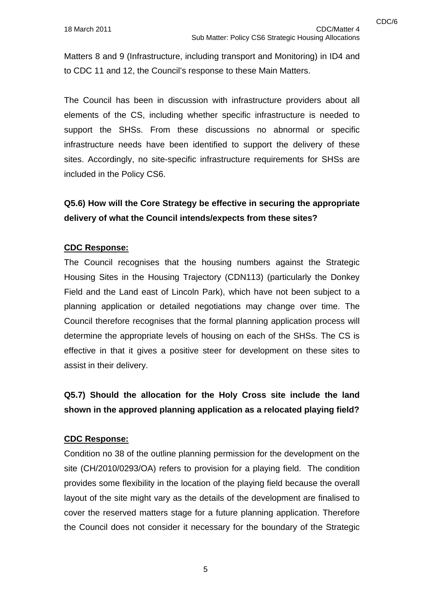Matters 8 and 9 (Infrastructure, including transport and Monitoring) in ID4 and to CDC 11 and 12, the Council's response to these Main Matters.

The Council has been in discussion with infrastructure providers about all elements of the CS, including whether specific infrastructure is needed to support the SHSs. From these discussions no abnormal or specific infrastructure needs have been identified to support the delivery of these sites. Accordingly, no site-specific infrastructure requirements for SHSs are included in the Policy CS6.

# **Q5.6) How will the Core Strategy be effective in securing the appropriate delivery of what the Council intends/expects from these sites?**

#### **CDC Response:**

The Council recognises that the housing numbers against the Strategic Housing Sites in the Housing Trajectory (CDN113) (particularly the Donkey Field and the Land east of Lincoln Park), which have not been subject to a planning application or detailed negotiations may change over time. The Council therefore recognises that the formal planning application process will determine the appropriate levels of housing on each of the SHSs. The CS is effective in that it gives a positive steer for development on these sites to assist in their delivery.

# **Q5.7) Should the allocation for the Holy Cross site include the land shown in the approved planning application as a relocated playing field?**

#### **CDC Response:**

Condition no 38 of the outline planning permission for the development on the site (CH/2010/0293/OA) refers to provision for a playing field. The condition provides some flexibility in the location of the playing field because the overall layout of the site might vary as the details of the development are finalised to cover the reserved matters stage for a future planning application. Therefore the Council does not consider it necessary for the boundary of the Strategic